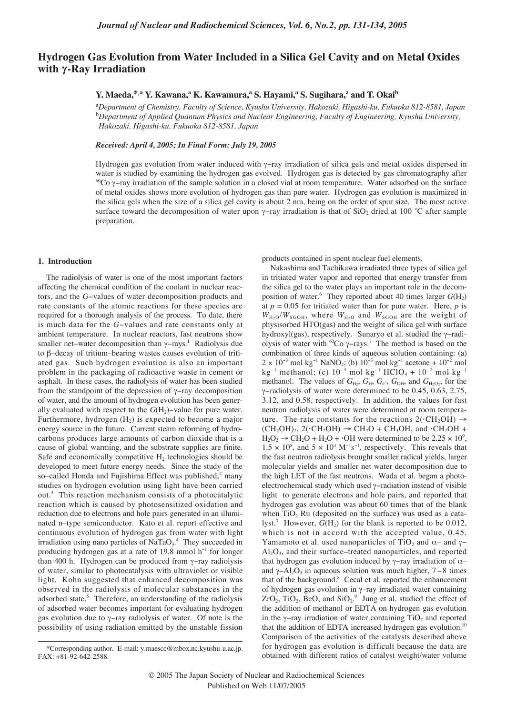# **Hydrogen Gas Evolution from Water Included in a Silica Gel Cavity and on Metal Oxides with γ-Ray Irradiation**

## **Y. Maeda,**\*,a<sup></sup> **Y. Kawana,**a<sup></sup> **K. Kawamura,a S. Hayami,a S. Sugihara,a** and **T. Okai**<sup>b</sup>

a *Department of Chemistry, Faculty of Science, Kyushu University, Hakozaki, Higashi-ku, Fukuoka 812-8581, Japan* b *Department of Applied Quantum Physics and Nuclear Engineering, Faculty of Engineering, Kyushu University, Hakozaki, Higashi-ku, Fukuoka 812-8581, Japan*

*Received: April 4, 2005; In Final Form: July 19, 2005*

Hydrogen gas evolution from water induced with γ−ray irradiation of silica gels and metal oxides dispersed in water is studied by examining the hydrogen gas evolved. Hydrogen gas is detected by gas chromatography after 60Co γ−ray irradiation of the sample solution in a closed vial at room temperature. Water adsorbed on the surface of metal oxides shows more evolution of hydrogen gas than pure water. Hydrogen gas evolution is maximized in the silica gels when the size of a silica gel cavity is about 2 nm, being on the order of spur size. The most active surface toward the decomposition of water upon  $\gamma$ -ray irradiation is that of SiO<sub>2</sub> dried at 100 °C after sample preparation.

#### **1. Introduction**

The radiolysis of water is one of the most important factors affecting the chemical condition of the coolant in nuclear reactors, and the *G*−values of water decomposition products and rate constants of the atomic reactions for these species are required for a thorough analysis of the process. To date, there is much data for the *G*−values and rate constants only at ambient temperature. In nuclear reactors, fast neutrons show smaller net–water decomposition than γ–rays.<sup>1</sup> Radiolysis due to β–decay of tritium–bearing wastes causes evolution of tritiated gas. Such hydrogen evolution is also an important problem in the packaging of radioactive waste in cement or asphalt. In these cases, the radiolysis of water has been studied from the standpoint of the depression of γ−ray decomposition of water, and the amount of hydrogen evolution has been generally evaluated with respect to the  $G(H_2)$ –value for pure water. Furthermore, hydrogen  $(H<sub>2</sub>)$  is expected to become a major energy source in the future. Current steam reforming of hydrocarbons produces large amounts of carbon dioxide that is a cause of global warming, and the substrate supplies are finite. Safe and economically competitive  $H_2$  technologies should be developed to meet future energy needs. Since the study of the so–called Honda and Fujishima Effect was published,<sup>2</sup> many studies on hydrogen evolution using light have been carried out.3 This reaction mechanism consists of a photocatalytic reaction which is caused by photosensitized oxidation and reduction due to electrons and hole pairs generated in an illuminated n–type semiconductor. Kato et al. report effective and continuous evolution of hydrogen gas from water with light irradiation using nano particles of  $\text{NaTaO}_3$ .<sup>4</sup> They succeeded in producing hydrogen gas at a rate of 19.8 mmol h<sup>−</sup><sup>1</sup> for longer than 400 h. Hydrogen can be produced from γ−ray radiolysis of water, similar to photocatalysis with ultraviolet or visible light. Kohn suggested that enhanced decomposition was observed in the radiolysis of molecular substances in the adsorbed state.<sup>5</sup> Therefore, an understanding of the radiolysis of adsorbed water becomes important for evaluating hydrogen gas evolution due to γ−ray radiolysis of water. Of note is the possibility of using radiation emitted by the unstable fission

products contained in spent nuclear fuel elements.

Nakashima and Tachikawa irradiated three types of silica gel in tritiated water vapor and reported that energy transfer from the silica gel to the water plays an important role in the decomposition of water.<sup>6</sup> They reported about 40 times larger  $G(H_2)$ at  $p = 0.05$  for tritiated water than for pure water. Here,  $p$  is  $W_{H2O}/W_{SGOH}$ , where  $W_{H2O}$  and  $W_{SGOH}$  are the weight of physisorbed HTO(gas) and the weight of silica gel with surface hydroxyl(gas), respectively. Sunaryo et al. studied the γ−radiolysis of water with 60Co γ−rays.1 The method is based on the combination of three kinds of aqueous solution containing: (a)  $2 \times 10^{-3}$  mol kg<sup>-1</sup> NaNO<sub>2</sub>; (b)  $10^{-3}$  mol kg<sup>-1</sup> acetone +  $10^{-2}$  mol kg<sup>-1</sup> methanol; (c) 10<sup>-3</sup> mol kg<sup>-1</sup> HClO<sub>4</sub> + 10<sup>-2</sup> mol kg<sup>-1</sup> methanol. The values of  $G_{H_2}$ ,  $G_{H_2}$ ,  $G_{e^-}$ ,  $G_{OH}$ , and  $G_{H_2O_2}$ , for the γ−radiolysis of water were determined to be 0.45, 0.63, 2.75, 3.12, and 0.58, respectively. In addition, the values for fast neutron radiolysis of water were determined at room temperature. The rate constants for the reactions  $2(\cdot \text{CH}_2\text{OH}) \rightarrow$  $(CH_2OH)_2$ ,  $2(\cdot CH_2OH) \rightarrow CH_2O + CH_3OH$ , and  $\cdot CH_2OH +$  $H_2O_2 \rightarrow CH_2O + H_2O + \cdot OH$  were determined to be 2.25  $\times$  10<sup>9</sup>,  $1.5 \times 10^8$ , and  $5 \times 10^4$  M<sup>-1</sup>s<sup>-1</sup>, respectively. This reveals that the fast neutron radiolysis brought smaller radical yields, larger molecular yields and smaller net water decomposition due to the high LET of the fast neutrons. Wada et al. began a photoelectrochemical study which used γ−radiation instead of visible light to generate electrons and hole pairs, and reported that hydrogen gas evolution was about 60 times that of the blank when  $TiO<sub>2</sub>$  Ru (deposited on the surface) was used as a catalyst.<sup>7</sup> However,  $G(H_2)$  for the blank is reported to be 0.012, which is not in accord with the accepted value, 0.45. Yamamoto et al. used nanoparticles of TiO<sub>2</sub> and  $\alpha$ – and γ−  $Al<sub>2</sub>O<sub>3</sub>$ , and their surface–treated nanoparticles, and reported that hydrogen gas evolution induced by γ−ray irradiation of α– and  $\gamma$ –Al<sub>2</sub>O<sub>3</sub> in aqueous solution was much higher, 7–8 times that of the background.<sup>8</sup> Cecal et al. reported the enhancement of hydrogen gas evolution in γ–ray irradiated water containing  $ZrO_2$ , TiO<sub>2</sub>, BeO, and SiO<sub>2</sub>.<sup>9</sup> Jung et al. studied the effect of the addition of methanol or EDTA on hydrogen gas evolution in the γ−ray irradiation of water containing  $TiO<sub>2</sub>$  and reported that the addition of EDTA increased hydrogen gas evolution.<sup>10</sup> Comparison of the activities of the catalysts described above for hydrogen gas evolution is difficult because the data are obtained with different ratios of catalyst weight/water volume

<sup>\*</sup>Corresponding author. E-mail: y.maescc@mbox.nc.kyushu-u.ac.jp. FAX: +81-92-642-2588.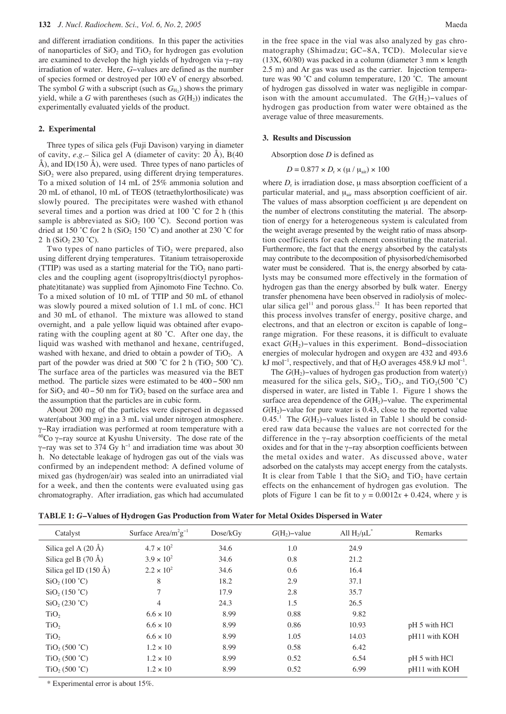and different irradiation conditions. In this paper the activities of nanoparticles of  $SiO<sub>2</sub>$  and  $TiO<sub>2</sub>$  for hydrogen gas evolution are examined to develop the high yields of hydrogen via γ−ray irradiation of water. Here, *G*−values are defined as the number of species formed or destroyed per 100 eV of energy absorbed. The symbol *G* with a subscript (such as  $G_{H_2}$ ) shows the primary yield, while a *G* with parentheses (such as  $G(H<sub>2</sub>)$ ) indicates the experimentally evaluated yields of the product.

#### **2. Experimental**

Three types of silica gels (Fuji Davison) varying in diameter of cavity, *e.g.–* Silica gel A (diameter of cavity: 20 Å), B(40 Å), and ID(150 Å), were used. Three types of nano particles of SiO<sub>2</sub> were also prepared, using different drying temperatures. To a mixed solution of 14 mL of 25% ammonia solution and 20 mL of ethanol, 10 mL of TEOS (tetraethylorthosilicate) was slowly poured. The precipitates were washed with ethanol several times and a portion was dried at 100 °C for 2 h (this sample is abbreviated as  $SiO<sub>2</sub> 100 °C$ ). Second portion was dried at 150 °C for 2 h (SiO<sub>2</sub> 150 °C) and another at 230 °C for 2 h  $(SiO<sub>2</sub> 230 °C)$ .

Two types of nano particles of  $TiO<sub>2</sub>$  were prepared, also using different drying temperatures. Titanium tetraisoperoxide (TTIP) was used as a starting material for the  $TiO<sub>2</sub>$  nano particles and the coupling agent (isopropyltris(dioctyl pyrophosphate)titanate) was supplied from Ajinomoto Fine Techno. Co. To a mixed solution of 10 mL of TTIP and 50 mL of ethanol was slowly poured a mixed solution of 1.1 mL of conc. HCl and 30 mL of ethanol. The mixture was allowed to stand overnight, and a pale yellow liquid was obtained after evaporating with the coupling agent at 80 ˚C. After one day, the liquid was washed with methanol and hexane, centrifuged, washed with hexane, and dried to obtain a powder of  $TiO<sub>2</sub>$ . A part of the powder was dried at 500 °C for 2 h (TiO<sub>2</sub> 500 °C). The surface area of the particles was measured via the BET method. The particle sizes were estimated to be 400−500 nm for SiO<sub>2</sub> and 40−50 nm for TiO<sub>2</sub> based on the surface area and the assumption that the particles are in cubic form.

About 200 mg of the particles were dispersed in degassed water(about 300 mg) in a 3 mL vial under nitrogen atmosphere. γ−Ray irradiation was performed at room temperature with a 60Co γ−ray source at Kyushu University. The dose rate of the γ-ray was set to 374 Gy h<sup>-1</sup> and irradiation time was about 30 h. No detectable leakage of hydrogen gas out of the vials was confirmed by an independent method: A defined volume of mixed gas (hydrogen/air) was sealed into an unirradiated vial for a week, and then the contents were evaluated using gas chromatography. After irradiation, gas which had accumulated in the free space in the vial was also analyzed by gas chromatography (Shimadzu; GC−8A, TCD). Molecular sieve  $(13X, 60/80)$  was packed in a column (diameter 3 mm  $\times$  length 2.5 m) and Ar gas was used as the carrier. Injection temperature was 90 ˚C and column temperature, 120 ˚C. The amount of hydrogen gas dissolved in water was negligible in comparison with the amount accumulated. The  $G(H_2)$ –values of hydrogen gas production from water were obtained as the average value of three measurements.

#### **3. Results and Discussion**

Absorption dose *D* is defined as

$$
D = 0.877 \times D_r \times (\mu / \mu_{\text{air}}) \times 100
$$

where  $D_r$  is irradiation dose,  $\mu$  mass absorption coefficient of a particular material, and  $\mu_{air}$  mass absorption coefficient of air. The values of mass absorption coefficient  $\mu$  are dependent on the number of electrons constituting the material. The absorption of energy for a heterogeneous system is calculated from the weight average presented by the weight ratio of mass absorption coefficients for each element constituting the material. Furthermore, the fact that the energy absorbed by the catalysts may contribute to the decomposition of physisorbed/chemisorbed water must be considered. That is, the energy absorbed by catalysts may be consumed more effectively in the formation of hydrogen gas than the energy absorbed by bulk water. Energy transfer phenomena have been observed in radiolysis of molecular silica gel<sup>11</sup> and porous glass.<sup>12</sup> It has been reported that this process involves transfer of energy, positive charge, and electrons, and that an electron or exciton is capable of long− range migration. For these reasons, it is difficult to evaluate exact *G*(H<sub>2</sub>)–values in this experiment. Bond–dissociation energies of molecular hydrogen and oxygen are 432 and 493.6 kJ mol<sup>-1</sup>, respectively, and that of H<sub>2</sub>O averages 458.9 kJ mol<sup>-1</sup>.

The *G*(H2)−values of hydrogen gas production from water(*y*) measured for the silica gels,  $SiO_2$ ,  $TiO_2$ , and  $TiO_2(500 \degree C)$ dispersed in water, are listed in Table 1. Figure 1 shows the surface area dependence of the *G*(H<sub>2</sub>)–value. The experimental *G*(H<sub>2</sub>)–value for pure water is 0.43, close to the reported value 0.45.<sup>1</sup> The *G*(H<sub>2</sub>)–values listed in Table 1 should be considered raw data because the values are not corrected for the difference in the γ−ray absorption coefficients of the metal oxides and for that in the γ−ray absorption coefficients between the metal oxides and water. As discussed above, water adsorbed on the catalysts may accept energy from the catalysts. It is clear from Table 1 that the  $SiO<sub>2</sub>$  and  $TiO<sub>2</sub>$  have certain effects on the enhancement of hydrogen gas evolution. The plots of Figure 1 can be fit to  $y = 0.0012x + 0.424$ , where *y* is

|  |  | TABLE 1: G-Values of Hydrogen Gas Production from Water for Metal Oxides Dispersed in Water |  |
|--|--|---------------------------------------------------------------------------------------------|--|
|  |  |                                                                                             |  |

| Catalyst                        | Surface Area/ $m^2g^{-1}$ | Dose/kGv | $G(H_2)$ -value | All $H_2/\mu L^*$ | Remarks       |
|---------------------------------|---------------------------|----------|-----------------|-------------------|---------------|
| Silica gel A $(20 \text{ Å})$   | $4.7 \times 10^{2}$       | 34.6     | 1.0             | 24.9              |               |
| Silica gel B $(70 \text{ Å})$   | $3.9 \times 10^{2}$       | 34.6     | 0.8             | 21.2              |               |
| Silica gel ID $(150 \text{ Å})$ | $2.2 \times 10^{2}$       | 34.6     | 0.6             | 16.4              |               |
| SiO <sub>2</sub> (100 °C)       | 8                         | 18.2     | 2.9             | 37.1              |               |
| SiO <sub>2</sub> (150 °C)       | $\tau$                    | 17.9     | 2.8             | 35.7              |               |
| SiO <sub>230</sub> °C           | 4                         | 24.3     | 1.5             | 26.5              |               |
| TiO <sub>2</sub>                | $6.6 \times 10$           | 8.99     | 0.88            | 9.82              |               |
| TiO <sub>2</sub>                | $6.6 \times 10$           | 8.99     | 0.86            | 10.93             | pH 5 with HCl |
| TiO <sub>2</sub>                | $6.6 \times 10$           | 8.99     | 1.05            | 14.03             | pH11 with KOH |
| TiO <sub>2</sub> (500 °C)       | $1.2 \times 10^{-7}$      | 8.99     | 0.58            | 6.42              |               |
| TiO <sub>2</sub> (500 °C)       | $1.2 \times 10$           | 8.99     | 0.52            | 6.54              | pH 5 with HCl |
| TiO <sub>2</sub> (500 °C)       | $1.2 \times 10$           | 8.99     | 0.52            | 6.99              | pH11 with KOH |

\* Experimental error is about 15%.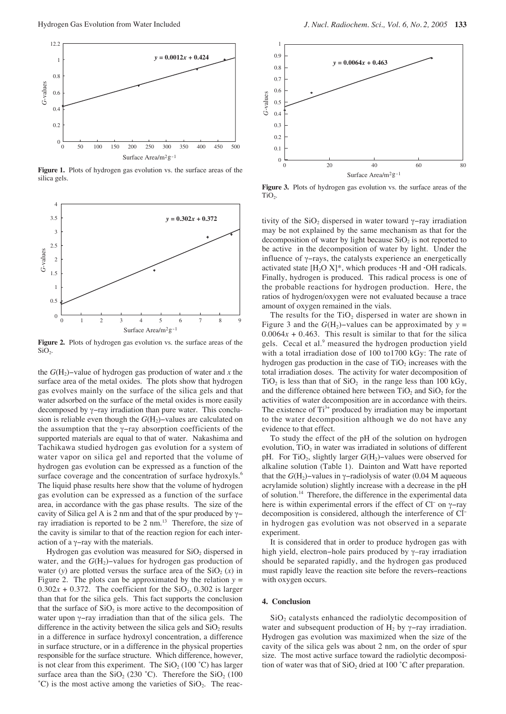

**Figure 1.** Plots of hydrogen gas evolution vs. the surface areas of the silica gels.



**Figure 2.** Plots of hydrogen gas evolution vs. the surface areas of the  $SiO<sub>2</sub>$ .

the *G*(H2)−value of hydrogen gas production of water and *x* the surface area of the metal oxides. The plots show that hydrogen gas evolves mainly on the surface of the silica gels and that water adsorbed on the surface of the metal oxides is more easily decomposed by γ−ray irradiation than pure water. This conclusion is reliable even though the *G*(H<sub>2</sub>)−values are calculated on the assumption that the γ−ray absorption coefficients of the supported materials are equal to that of water. Nakashima and Tachikawa studied hydrogen gas evolution for a system of water vapor on silica gel and reported that the volume of hydrogen gas evolution can be expressed as a function of the surface coverage and the concentration of surface hydroxyls.<sup>6</sup> The liquid phase results here show that the volume of hydrogen gas evolution can be expressed as a function of the surface area, in accordance with the gas phase results. The size of the cavity of Silica gel A is 2 nm and that of the spur produced by γ− ray irradiation is reported to be 2 nm.<sup>13</sup> Therefore, the size of the cavity is similar to that of the reaction region for each interaction of a γ−ray with the materials.

Hydrogen gas evolution was measured for  $SiO<sub>2</sub>$  dispersed in water, and the *G*(H<sub>2</sub>)–values for hydrogen gas production of water (*y*) are plotted versus the surface area of the  $SiO<sub>2</sub>(x)$  in Figure 2. The plots can be approximated by the relation  $y =$  $0.302x + 0.372$ . The coefficient for the SiO<sub>2</sub>, 0.302 is larger than that for the silica gels. This fact supports the conclusion that the surface of  $SiO<sub>2</sub>$  is more active to the decomposition of water upon γ−ray irradiation than that of the silica gels. The difference in the activity between the silica gels and  $SiO<sub>2</sub>$  results in a difference in surface hydroxyl concentration, a difference in surface structure, or in a difference in the physical properties responsible for the surface structure. Which difference, however, is not clear from this experiment. The  $SiO<sub>2</sub>$  (100 °C) has larger surface area than the  $SiO<sub>2</sub>$  (230 °C). Therefore the  $SiO<sub>2</sub>$  (100  $^{\circ}$ C) is the most active among the varieties of SiO<sub>2</sub>. The reac-



**Figure 3.** Plots of hydrogen gas evolution vs. the surface areas of the TiO<sub>2</sub>.

tivity of the SiO<sub>2</sub> dispersed in water toward  $\gamma$ −ray irradiation may be not explained by the same mechanism as that for the decomposition of water by light because  $SiO<sub>2</sub>$  is not reported to be active in the decomposition of water by light. Under the influence of γ−rays, the catalysts experience an energetically activated state  $[H_2O X]^*$ , which produces  $\cdot$ H and  $\cdot$ OH radicals. Finally, hydrogen is produced. This radical process is one of the probable reactions for hydrogen production. Here, the ratios of hydrogen/oxygen were not evaluated because a trace amount of oxygen remained in the vials.

The results for the  $TiO<sub>2</sub>$  dispersed in water are shown in Figure 3 and the  $G(H_2)$ −values can be approximated by  $y =$  $0.0064x + 0.463$ . This result is similar to that for the silica gels. Cecal et al.<sup>9</sup> measured the hydrogen production yield with a total irradiation dose of 100 to1700 kGy: The rate of hydrogen gas production in the case of  $TiO<sub>2</sub>$  increases with the total irradiation doses. The activity for water decomposition of  $TiO<sub>2</sub>$  is less than that of  $SiO<sub>2</sub>$  in the range less than 100 kGy, and the difference obtained here between  $TiO<sub>2</sub>$  and  $SiO<sub>2</sub>$  for the activities of water decomposition are in accordance with theirs. The existence of  $Ti^{3+}$  produced by irradiation may be important to the water decomposition although we do not have any evidence to that effect.

To study the effect of the pH of the solution on hydrogen evolution,  $TiO<sub>2</sub>$  in water was irradiated in solutions of different pH. For TiO<sub>2</sub>, slightly larger *G*(H<sub>2</sub>)–values were observed for alkaline solution (Table 1). Dainton and Watt have reported that the  $G(H_2)$ –values in γ–radiolysis of water (0.04 M aqueous acrylamide solution) slightly increase with a decrease in the pH of solution.14 Therefore, the difference in the experimental data here is within experimental errors if the effect of Cl<sup>−</sup> on γ–ray decomposition is considered, although the interference of Cl− in hydrogen gas evolution was not observed in a separate experiment.

It is considered that in order to produce hydrogen gas with high yield, electron−hole pairs produced by γ–ray irradiation should be separated rapidly, and the hydrogen gas produced must rapidly leave the reaction site before the revers−reactions with oxygen occurs.

### **4. Conclusion**

 $SiO<sub>2</sub>$  catalysts enhanced the radiolytic decomposition of water and subsequent production of  $H_2$  by γ−ray irradiation. Hydrogen gas evolution was maximized when the size of the cavity of the silica gels was about 2 nm, on the order of spur size. The most active surface toward the radiolytic decomposition of water was that of  $SiO<sub>2</sub>$  dried at 100 °C after preparation.